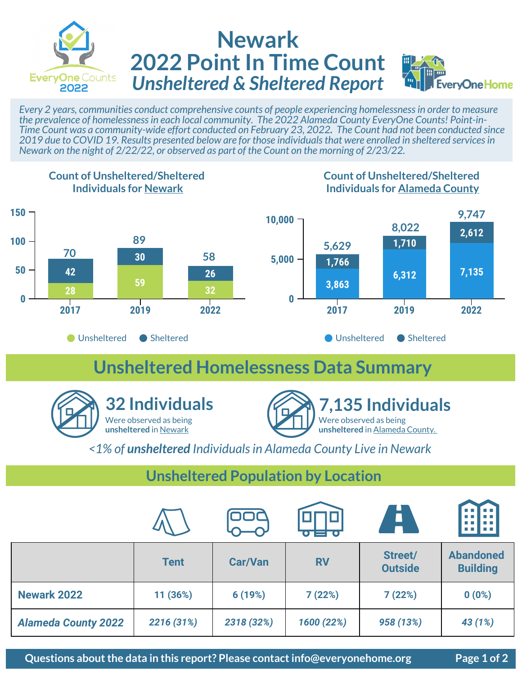

## **Newark 2022 Point In Time Count** *Unsheltered & Sheltered Report*



*Every 2 years, communities conduct comprehensive counts of people experiencing homelessness in order to measure the prevalence of homelessness in each local community. The 2022 Alameda County EveryOne Counts! Point-in-Time Count was a community-wide effort conducted on February 23, 2022. The Count had not been conducted since 2019 due to COVID 19. Results presented below are for those individuals that were enrolled in sheltered services in Newark on the night of 2/22/22, or observed as part of the Count on the morning of 2/23/22.* 



### **Unsheltered Homelessness Data Summary**





*<1% of unsheltered Individuals in Alameda County Live in Newark*

#### **Unsheltered Population by Location**

|                            |             |                | $\bullet$ to $\bullet$ to $\bullet$ | A                         | 鯛                                   |
|----------------------------|-------------|----------------|-------------------------------------|---------------------------|-------------------------------------|
|                            | <b>Tent</b> | <b>Car/Van</b> | <b>RV</b>                           | Street/<br><b>Outside</b> | <b>Abandoned</b><br><b>Building</b> |
| <b>Newark 2022</b>         | 11 (36%)    | 6(19%)         | 7(22%)                              | 7(22%)                    | 0(0%)                               |
| <b>Alameda County 2022</b> | 2216 (31%)  | 2318 (32%)     | 1600 (22%)                          | 958 (13%)                 | 43 (1%)                             |